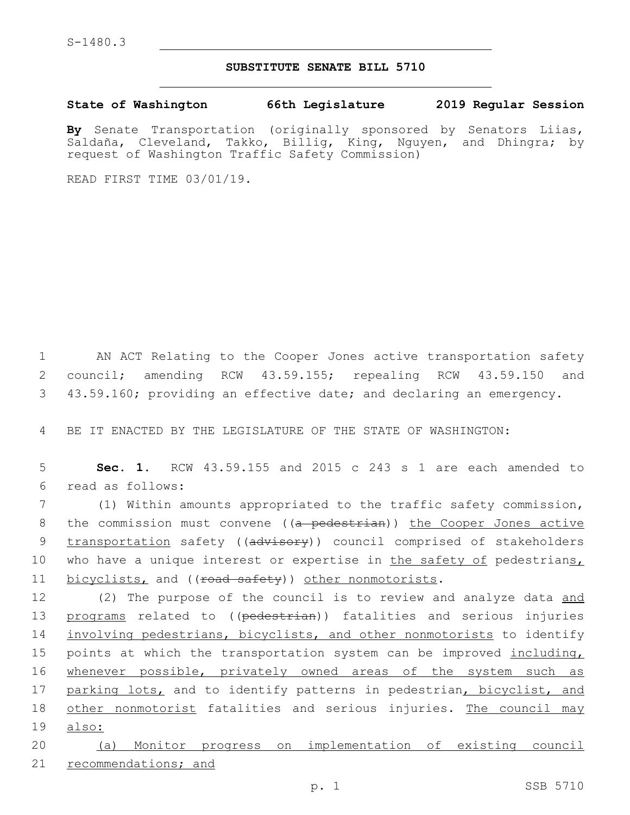## **SUBSTITUTE SENATE BILL 5710**

**State of Washington 66th Legislature 2019 Regular Session**

**By** Senate Transportation (originally sponsored by Senators Liias, Saldaña, Cleveland, Takko, Billig, King, Nguyen, and Dhingra; by request of Washington Traffic Safety Commission)

READ FIRST TIME 03/01/19.

1 AN ACT Relating to the Cooper Jones active transportation safety 2 council; amending RCW 43.59.155; repealing RCW 43.59.150 and 3 43.59.160; providing an effective date; and declaring an emergency.

4 BE IT ENACTED BY THE LEGISLATURE OF THE STATE OF WASHINGTON:

5 **Sec. 1.** RCW 43.59.155 and 2015 c 243 s 1 are each amended to read as follows:6

7 (1) Within amounts appropriated to the traffic safety commission, 8 the commission must convene ((a pedestrian)) the Cooper Jones active 9 transportation safety ((advisory)) council comprised of stakeholders 10 who have a unique interest or expertise in the safety of pedestrians, 11 bicyclists, and ((road safety)) other nonmotorists.

12 (2) The purpose of the council is to review and analyze data and 13 programs related to ((pedestrian)) fatalities and serious injuries 14 involving pedestrians, bicyclists, and other nonmotorists to identify 15 points at which the transportation system can be improved including, 16 whenever possible, privately owned areas of the system such as 17 parking lots, and to identify patterns in pedestrian, bicyclist, and 18 other nonmotorist fatalities and serious injuries. The council may 19 also:

20 (a) Monitor progress on implementation of existing council 21 recommendations; and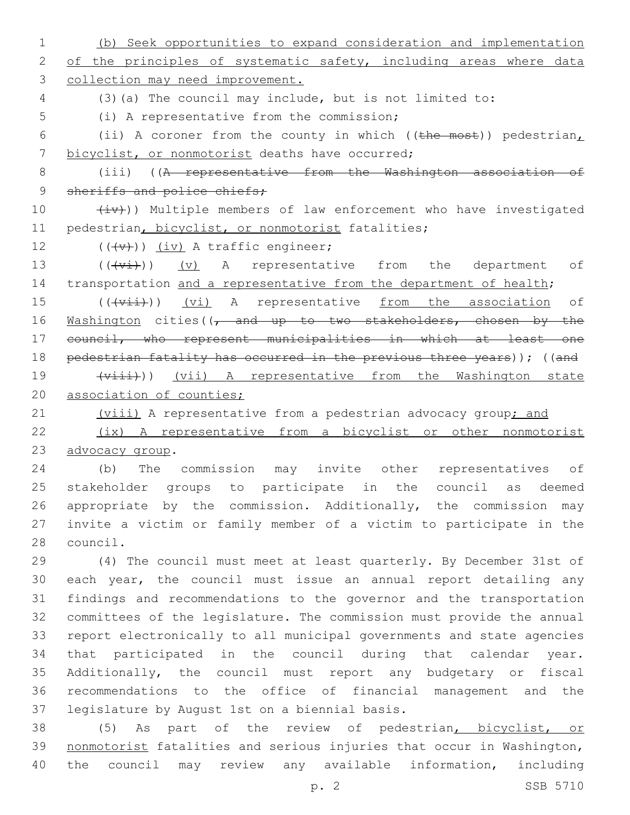1 (b) Seek opportunities to expand consideration and implementation 2 of the principles of systematic safety, including areas where data 3 collection may need improvement. 4 (3)(a) The council may include, but is not limited to: 5 (i) A representative from the commission; 6 (ii) A coroner from the county in which (( $t$ he most)) pedestrian, 7 bicyclist, or nonmotorist deaths have occurred; 8 (iii) ((A representative from the Washington association of 9 sheriffs and police chiefs; 10  $(iv)$ ) Multiple members of law enforcement who have investigated 11 pedestrian, bicyclist, or nonmotorist fatalities; 12  $((\downarrow \downarrow \downarrow))$   $(i \vee j)$  A traffic engineer; 13 (((vi)) (v) A representative from the department of 14 transportation and a representative from the department of health; 15 (((vii)) (vi) A representative from the association of 16 Washington cities((, and up to two stakeholders, chosen by the 17 council, who represent municipalities in which at least one 18 pedestrian fatality has occurred in the previous three years)); ((and 19 (viii) A representative from the Washington state 20 association of counties; 21 (viii) A representative from a pedestrian advocacy group; and 22 (ix) A representative from a bicyclist or other nonmotorist 23 advocacy group. 24 (b) The commission may invite other representatives of 25 stakeholder groups to participate in the council as deemed 26 appropriate by the commission. Additionally, the commission may 27 invite a victim or family member of a victim to participate in the 28 council. 29 (4) The council must meet at least quarterly. By December 31st of 30 each year, the council must issue an annual report detailing any 31 findings and recommendations to the governor and the transportation 32 committees of the legislature. The commission must provide the annual 33 report electronically to all municipal governments and state agencies 34 that participated in the council during that calendar year. 35 Additionally, the council must report any budgetary or fiscal 36 recommendations to the office of financial management and the 37 legislature by August 1st on a biennial basis. 38 (5) As part of the review of pedestrian, bicyclist, or 39 nonmotorist fatalities and serious injuries that occur in Washington,

p. 2 SSB 5710

40 the council may review any available information, including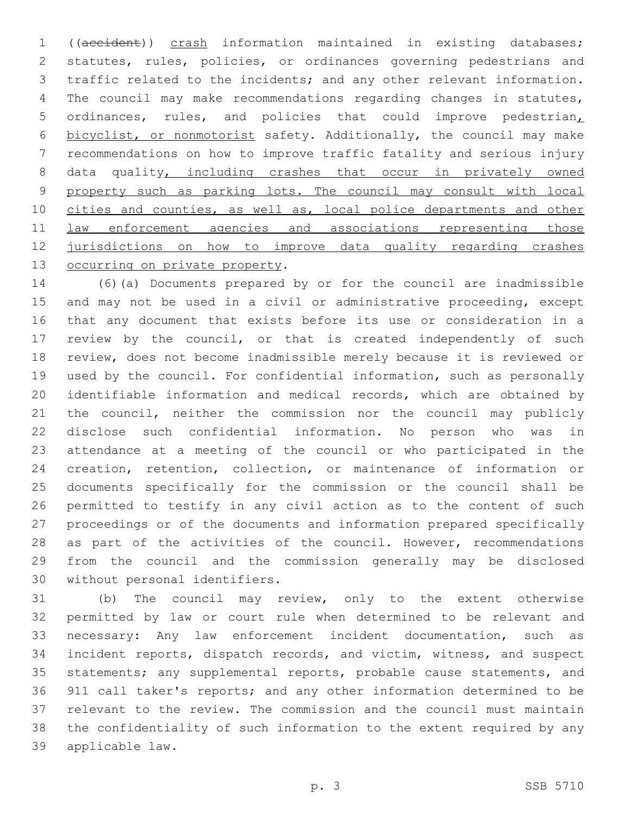((accident)) crash information maintained in existing databases; statutes, rules, policies, or ordinances governing pedestrians and traffic related to the incidents; and any other relevant information. The council may make recommendations regarding changes in statutes, ordinances, rules, and policies that could improve pedestrian, bicyclist, or nonmotorist safety. Additionally, the council may make recommendations on how to improve traffic fatality and serious injury 8 data quality, including crashes that occur in privately owned 9 property such as parking lots. The council may consult with local cities and counties, as well as, local police departments and other 11 law enforcement agencies and associations representing those jurisdictions on how to improve data quality regarding crashes 13 occurring on private property.

 (6)(a) Documents prepared by or for the council are inadmissible and may not be used in a civil or administrative proceeding, except that any document that exists before its use or consideration in a review by the council, or that is created independently of such review, does not become inadmissible merely because it is reviewed or used by the council. For confidential information, such as personally identifiable information and medical records, which are obtained by the council, neither the commission nor the council may publicly disclose such confidential information. No person who was in attendance at a meeting of the council or who participated in the creation, retention, collection, or maintenance of information or documents specifically for the commission or the council shall be permitted to testify in any civil action as to the content of such proceedings or of the documents and information prepared specifically 28 as part of the activities of the council. However, recommendations from the council and the commission generally may be disclosed 30 without personal identifiers.

 (b) The council may review, only to the extent otherwise permitted by law or court rule when determined to be relevant and necessary: Any law enforcement incident documentation, such as incident reports, dispatch records, and victim, witness, and suspect statements; any supplemental reports, probable cause statements, and 911 call taker's reports; and any other information determined to be relevant to the review. The commission and the council must maintain the confidentiality of such information to the extent required by any applicable law.39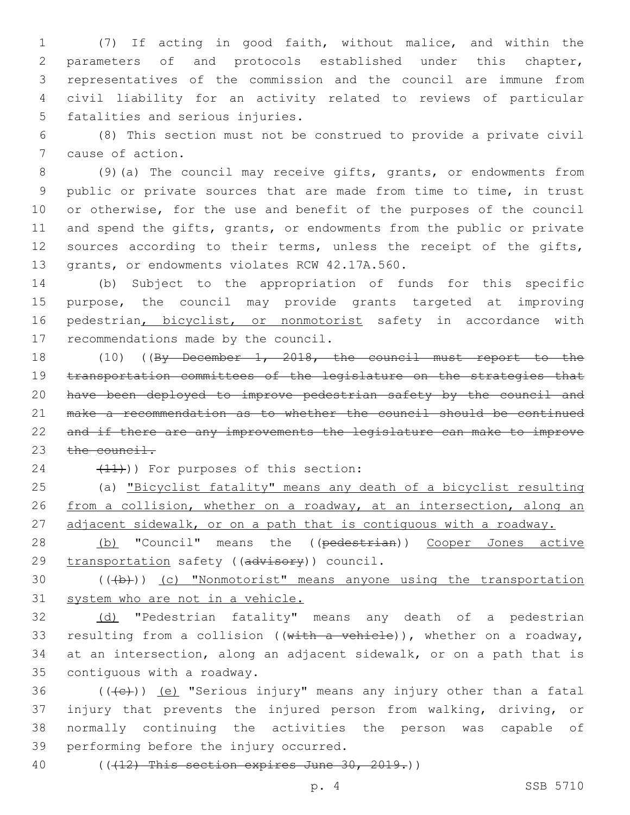(7) If acting in good faith, without malice, and within the parameters of and protocols established under this chapter, representatives of the commission and the council are immune from civil liability for an activity related to reviews of particular 5 fatalities and serious injuries.

6 (8) This section must not be construed to provide a private civil 7 cause of action.

8 (9)(a) The council may receive gifts, grants, or endowments from 9 public or private sources that are made from time to time, in trust 10 or otherwise, for the use and benefit of the purposes of the council 11 and spend the gifts, grants, or endowments from the public or private 12 sources according to their terms, unless the receipt of the gifts, 13 grants, or endowments violates RCW 42.17A.560.

14 (b) Subject to the appropriation of funds for this specific 15 purpose, the council may provide grants targeted at improving 16 pedestrian, bicyclist, or nonmotorist safety in accordance with 17 recommendations made by the council.

 (10) ((By December 1, 2018, the council must report to the transportation committees of the legislature on the strategies that have been deployed to improve pedestrian safety by the council and make a recommendation as to whether the council should be continued and if there are any improvements the legislature can make to improve 23 the council.

24 (11)) For purposes of this section:

25 (a) "Bicyclist fatality" means any death of a bicyclist resulting 26 from a collision, whether on a roadway, at an intersection, along an 27 adjacent sidewalk, or on a path that is contiguous with a roadway.

28 (b) "Council" means the ((pedestrian)) Cooper Jones active 29 transportation safety ((advisory)) council.

30 (((b))) (c) "Nonmotorist" means anyone using the transportation 31 system who are not in a vehicle.

32 (d) "Pedestrian fatality" means any death of a pedestrian 33 resulting from a collision ((with a vehicle)), whether on a roadway, 34 at an intersection, along an adjacent sidewalk, or on a path that is 35 contiguous with a roadway.

 $((+e))$   $(e)$  "Serious injury" means any injury other than a fatal injury that prevents the injured person from walking, driving, or normally continuing the activities the person was capable of 39 performing before the injury occurred.

40 (((12) This section expires June 30, 2019.))